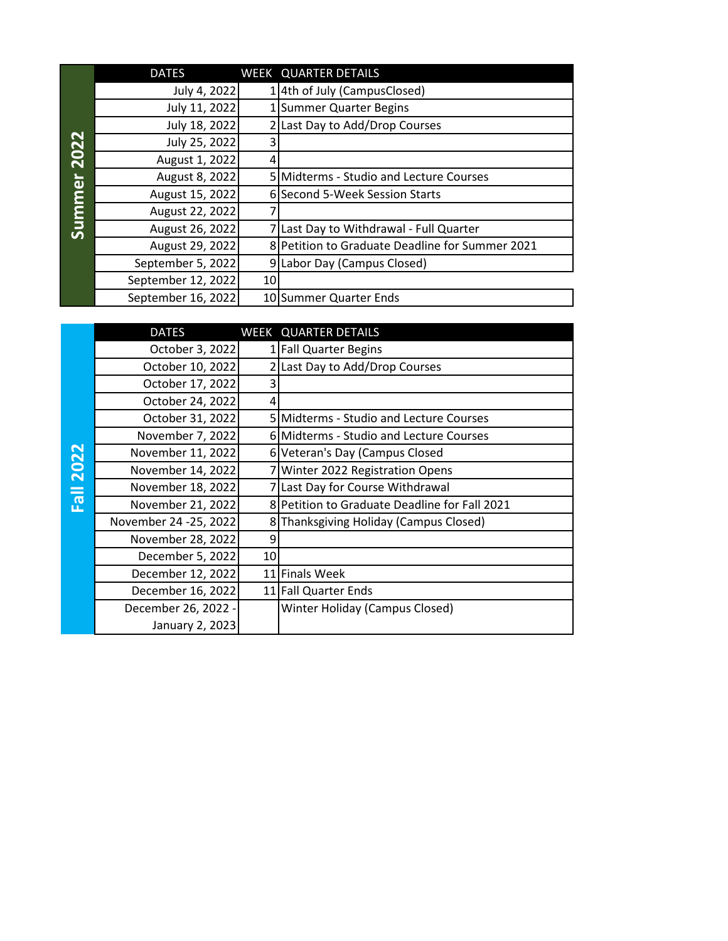|                       | <b>DATES</b>       |    | <b>WEEK QUARTER DETAILS</b>                     |
|-----------------------|--------------------|----|-------------------------------------------------|
| 2022<br><b>Summer</b> | July 4, 2022       |    | 4th of July (CampusClosed)                      |
|                       | July 11, 2022      |    | 1 Summer Quarter Begins                         |
|                       | July 18, 2022      |    | 2 Last Day to Add/Drop Courses                  |
|                       | July 25, 2022      | 3  |                                                 |
|                       | August 1, 2022     | 4  |                                                 |
|                       | August 8, 2022     |    | 5 Midterms - Studio and Lecture Courses         |
|                       | August 15, 2022    |    | 6 Second 5-Week Session Starts                  |
|                       | August 22, 2022    |    |                                                 |
|                       | August 26, 2022    |    | Last Day to Withdrawal - Full Quarter           |
|                       | August 29, 2022    |    | 8 Petition to Graduate Deadline for Summer 2021 |
|                       | September 5, 2022  |    | 9 Labor Day (Campus Closed)                     |
|                       | September 12, 2022 | 10 |                                                 |
|                       | September 16, 2022 |    | 10 Summer Quarter Ends                          |

|                         | <b>DATES</b>           |   | WEEK QUARTER DETAILS                          |
|-------------------------|------------------------|---|-----------------------------------------------|
| 2022<br>$\overline{16}$ | October 3, 2022        |   | <b>Fall Quarter Begins</b>                    |
|                         | October 10, 2022       |   | Last Day to Add/Drop Courses                  |
|                         | October 17, 2022       |   |                                               |
|                         | October 24, 2022       | 4 |                                               |
|                         | October 31, 2022       |   | 5 Midterms - Studio and Lecture Courses       |
|                         | November 7, 2022       |   | 6 Midterms - Studio and Lecture Courses       |
|                         | November 11, 2022      |   | 6 Veteran's Day (Campus Closed                |
|                         | November 14, 2022      |   | 7 Winter 2022 Registration Opens              |
|                         | November 18, 2022      |   | 7 Last Day for Course Withdrawal              |
|                         | November 21, 2022      |   | 8 Petition to Graduate Deadline for Fall 2021 |
|                         | November 24 - 25, 2022 |   | Thanksgiving Holiday (Campus Closed)          |
|                         | November 28, 2022      | 9 |                                               |
|                         | December 5, 2022<br>10 |   |                                               |
|                         | December 12, 2022      |   | 11 Finals Week                                |
|                         | December 16, 2022      |   | 11 Fall Quarter Ends                          |
|                         | December 26, 2022 -    |   | Winter Holiday (Campus Closed)                |
|                         | January 2, 2023        |   |                                               |